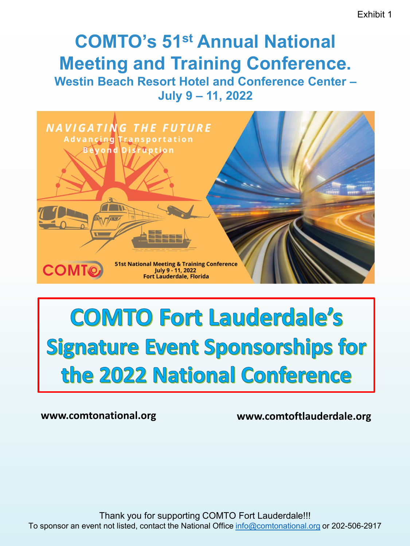# **COMTO's 51st Annual National Meeting and Training Conference. Westin Beach Resort Hotel and Conference Center – July 9 – 11, 2022**



# **COMTO Fort Lauderdale's Signature Event Sponsorships for** the 2022 National Conference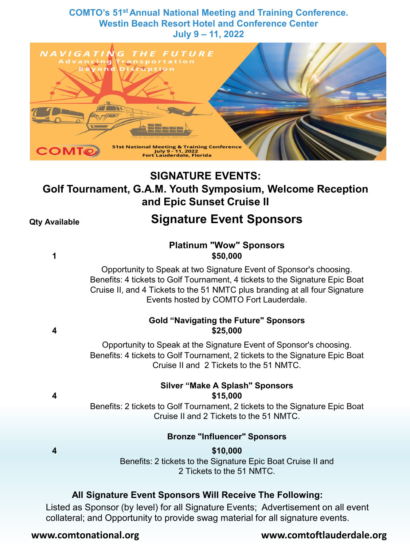**COMTO's 51st Annual National Meeting and Training Conference. Westin Beach Resort Hotel and Conference Center July 9 – 11, 2022**



# **SIGNATURE EVENTS: Golf Tournament, G.A.M. Youth Symposium, Welcome Reception and Epic Sunset Cruise II**

# **Qty Available Signature Event Sponsors**

#### **Platinum "Wow" Sponsors 1 \$50,000**

Opportunity to Speak at two Signature Event of Sponsor's choosing. Benefits: 4 tickets to Golf Tournament, 4 tickets to the Signature Epic Boat Cruise II, and 4 Tickets to the 51 NMTC plus branding at all four Signature Events hosted by COMTO Fort Lauderdale.

#### **Gold "Navigating the Future" Sponsors 4 \$25,000**

Opportunity to Speak at the Signature Event of Sponsor's choosing. Benefits: 4 tickets to Golf Tournament, 2 tickets to the Signature Epic Boat Cruise II and 2 Tickets to the 51 NMTC.

#### **Silver "Make A Splash" Sponsors 4 \$15,000**

Benefits: 2 tickets to Golf Tournament, 2 tickets to the Signature Epic Boat Cruise II and 2 Tickets to the 51 NMTC.

### **Bronze "Influencer" Sponsors**

# **4 \$10,000**

Benefits: 2 tickets to the Signature Epic Boat Cruise II and 2 Tickets to the 51 NMTC.

# **All Signature Event Sponsors Will Receive The Following:**

Listed as Sponsor (by level) for all Signature Events; Advertisement on all event collateral; and Opportunity to provide swag material for all signature events.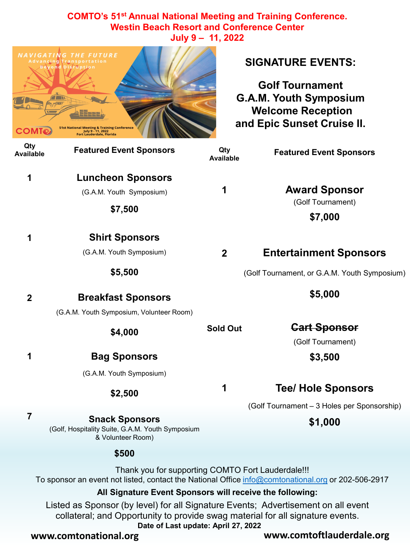**COMTO's 51st Annual National Meeting and Training Conference. Westin Beach Resort and Conference Center July 9 – 11, 2022**

| <b>COMTO</b>            | <b>NAVIGATING THE FUTURE</b><br>ncing Transportation<br>yond Disruption<br><b>51st National Meeting &amp; Training Conference</b><br>July 9 - 11, 2022<br>Fort Lauderdale, Florida                                                                                                                       |                         | <b>SIGNATURE EVENTS:</b><br><b>Golf Tournament</b><br><b>G.A.M. Youth Symposium</b><br><b>Welcome Reception</b><br>and Epic Sunset Cruise II. |
|-------------------------|----------------------------------------------------------------------------------------------------------------------------------------------------------------------------------------------------------------------------------------------------------------------------------------------------------|-------------------------|-----------------------------------------------------------------------------------------------------------------------------------------------|
| Qty<br><b>Available</b> | <b>Featured Event Sponsors</b>                                                                                                                                                                                                                                                                           | Qty<br><b>Available</b> | <b>Featured Event Sponsors</b>                                                                                                                |
| 1                       | <b>Luncheon Sponsors</b><br>(G.A.M. Youth Symposium)<br>\$7,500                                                                                                                                                                                                                                          | 1                       | <b>Award Sponsor</b><br>(Golf Tournament)<br>\$7,000                                                                                          |
| 1                       | <b>Shirt Sponsors</b><br>(G.A.M. Youth Symposium)<br>\$5,500                                                                                                                                                                                                                                             | $\mathbf{2}$            | <b>Entertainment Sponsors</b><br>(Golf Tournament, or G.A.M. Youth Symposium)                                                                 |
| $\overline{2}$          | <b>Breakfast Sponsors</b><br>(G.A.M. Youth Symposium, Volunteer Room)                                                                                                                                                                                                                                    |                         | \$5,000                                                                                                                                       |
|                         | \$4,000                                                                                                                                                                                                                                                                                                  | <b>Sold Out</b>         | <b>Cart Sponsor</b><br>(Golf Tournament)                                                                                                      |
| 1                       | <b>Bag Sponsors</b><br>(G.A.M. Youth Symposium)                                                                                                                                                                                                                                                          |                         | \$3,500                                                                                                                                       |
|                         | \$2,500                                                                                                                                                                                                                                                                                                  |                         | <b>Tee/ Hole Sponsors</b><br>(Golf Tournament - 3 Holes per Sponsorship)                                                                      |
| $\overline{7}$          | <b>Snack Sponsors</b><br>(Golf, Hospitality Suite, G.A.M. Youth Symposium<br>& Volunteer Room)                                                                                                                                                                                                           |                         | \$1,000                                                                                                                                       |
|                         | \$500                                                                                                                                                                                                                                                                                                    |                         |                                                                                                                                               |
|                         | Thank you for supporting COMTO Fort Lauderdale!!!<br>To sponsor an event not listed, contact the National Office info@comtonational.org or 202-506-2917<br>All Signature Event Sponsors will receive the following:<br>Listed as Sponsor (by level) for all Signature Events; Advertisement on all event |                         |                                                                                                                                               |

collateral; and Opportunity to provide swag material for all signature events.

**Date of Last update: April 27, 2022**